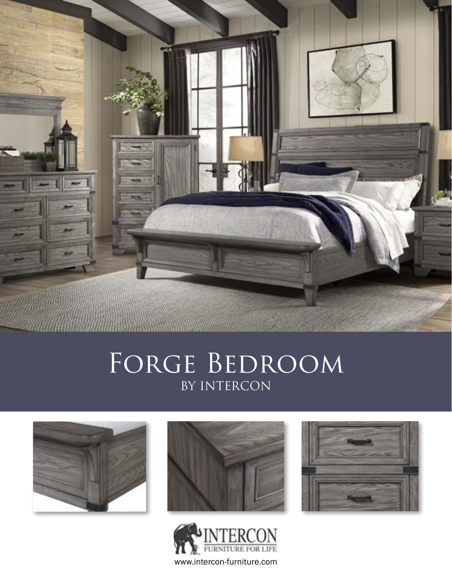

# FORGE BEDROOM BY INTERCON